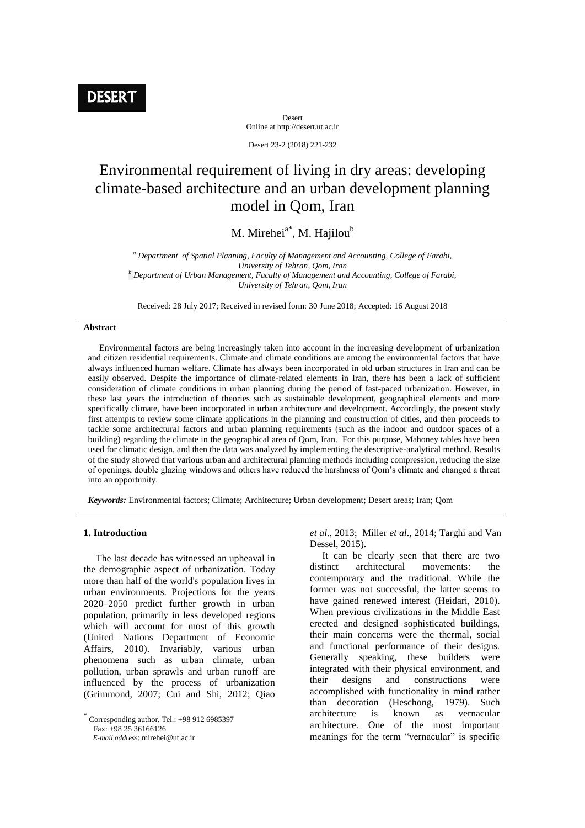Desert Online at http://desert.ut.ac.ir

Desert 23-2 (2018) 221-232

# Environmental requirement of living in dry areas: developing climate-based architecture and an urban development planning model in Qom, Iran

M. Mirehei $a^*$ , M. Hajilou<sup>b</sup>

*<sup>a</sup> Department of Spatial Planning, Faculty of Management and Accounting, College of Farabi, University of Tehran, Qom, Iran <sup>b</sup> Department of Urban Management, Faculty of Management and Accounting, College of Farabi, University of Tehran, Qom, Iran*

Received: 28 July 2017; Received in revised form: 30 June 2018; Accepted: 16 August 2018

## **Abstract**

 Environmental factors are being increasingly taken into account in the increasing development of urbanization and citizen residential requirements. Climate and climate conditions are among the environmental factors that have always influenced human welfare. Climate has always been incorporated in old urban structures in Iran and can be easily observed. Despite the importance of climate-related elements in Iran, there has been a lack of sufficient consideration of climate conditions in urban planning during the period of fast-paced urbanization. However, in these last years the introduction of theories such as sustainable development, geographical elements and more specifically climate, have been incorporated in urban architecture and development. Accordingly, the present study first attempts to review some climate applications in the planning and construction of cities, and then proceeds to tackle some architectural factors and urban planning requirements (such as the indoor and outdoor spaces of a building) regarding the climate in the geographical area of Qom, Iran. For this purpose, Mahoney tables have been used for climatic design, and then the data was analyzed by implementing the descriptive-analytical method. Results of the study showed that various urban and architectural planning methods including compression, reducing the size of openings, double glazing windows and others have reduced the harshness of Qom's climate and changed a threat into an opportunity.

*Keywords:* Environmental factors; Climate; Architecture; Urban development; Desert areas; Iran; Qom

# **1. Introduction**

 The last decade has witnessed an upheaval in the demographic aspect of urbanization. Today more than half of the world's population lives in urban environments. Projections for the years 2020–2050 predict further growth in urban population, primarily in less developed regions which will account for most of this growth (United Nations Department of Economic Affairs, 2010). Invariably, various urban phenomena such as urban climate, urban pollution, urban sprawls and urban runoff are influenced by the process of urbanization (Grimmond, 2007; Cui and Shi, 2012; Qiao

Fax: +98 25 36166126

*et al*., 2013; Miller *et al*., 2014; Targhi and Van Dessel, 2015).

 It can be clearly seen that there are two distinct architectural movements: the contemporary and the traditional. While the former was not successful, the latter seems to have gained renewed interest (Heidari, 2010). When previous civilizations in the Middle East erected and designed sophisticated buildings, their main concerns were the thermal, social and functional performance of their designs. Generally speaking, these builders were integrated with their physical environment, and their designs and constructions were accomplished with functionality in mind rather than decoration (Heschong, 1979). Such architecture is known as vernacular architecture. One of the most important meanings for the term "vernacular" is specific

 $\overline{\overline{\text{Corresponding author}}}\$ . Tel.: +98 912 6985397

*E-mail address*: mirehei@ut.ac.ir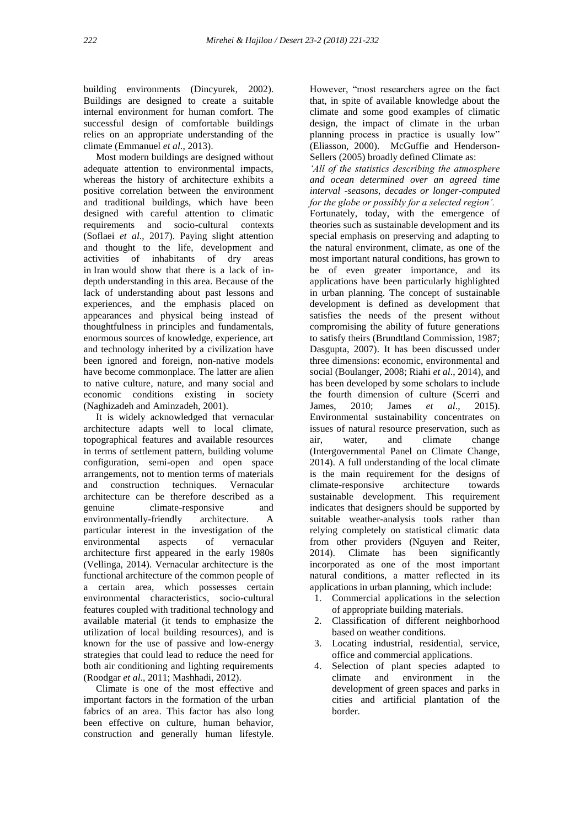building environments (Dincyurek, 2002). Buildings are designed to create a suitable internal environment for human comfort. The successful design of comfortable buildings relies on an appropriate understanding of the climate (Emmanuel *et al*., 2013).

 Most modern buildings are designed without adequate attention to environmental impacts, whereas the history of architecture exhibits a positive correlation between the environment and traditional buildings, which have been designed with careful attention to climatic requirements and socio-cultural contexts (Soflaei *et al*., 2017). Paying slight attention and thought to the life, development and activities of inhabitants of dry areas in Iran would show that there is a lack of indepth understanding in this area. Because of the lack of understanding about past lessons and experiences, and the emphasis placed on appearances and physical being instead of thoughtfulness in principles and fundamentals, enormous sources of knowledge, experience, art and technology inherited by a civilization have been ignored and foreign, non-native models have become commonplace. The latter are alien to native culture, nature, and many social and economic conditions existing in society (Naghizadeh and Aminzadeh, 2001).

 It is widely acknowledged that vernacular architecture adapts well to local climate, topographical features and available resources in terms of settlement pattern, building volume configuration, semi-open and open space arrangements, not to mention terms of materials and construction techniques. Vernacular architecture can be therefore described as a genuine climate-responsive and environmentally-friendly architecture. A particular interest in the investigation of the environmental aspects of vernacular architecture first appeared in the early 1980s (Vellinga, 2014). Vernacular architecture is the functional architecture of the common people of a certain area, which possesses certain environmental characteristics, socio-cultural features coupled with traditional technology and available material (it tends to emphasize the utilization of local building resources), and is known for the use of passive and low-energy strategies that could lead to reduce the need for both air conditioning and lighting requirements (Roodgar *et al*., 2011; Mashhadi, 2012).

 Climate is one of the most effective and important factors in the formation of the urban fabrics of an area. This factor has also long been effective on culture, human behavior, construction and generally human lifestyle.

However, "most researchers agree on the fact that, in spite of available knowledge about the climate and some good examples of climatic design, the impact of climate in the urban planning process in practice is usually low" (Eliasson, 2000). McGuffie and Henderson-Sellers (2005) broadly defined Climate as:

*'All of the statistics describing the atmosphere and ocean determined over an agreed time interval -seasons, decades or longer-computed for the globe or possibly for a selected region'.* Fortunately, today, with the emergence of theories such as sustainable development and its special emphasis on preserving and adapting to the natural environment, climate, as one of the most important natural conditions, has grown to be of even greater importance, and its applications have been particularly highlighted in urban planning. The concept of sustainable development is defined as development that satisfies the needs of the present without compromising the ability of future generations to satisfy theirs (Brundtland Commission, 1987; Dasgupta, 2007). It has been discussed under three dimensions: economic, environmental and social (Boulanger, 2008; Riahi *et al*., 2014), and has been developed by some scholars to include the fourth dimension of culture (Scerri and James, 2010; James *et al*., 2015). Environmental sustainability concentrates on issues of natural resource preservation, such as air, water, and climate change (Intergovernmental Panel on Climate Change, 2014). A full understanding of the local climate is the main requirement for the designs of climate-responsive architecture towards sustainable development. This requirement indicates that designers should be supported by suitable weather-analysis tools rather than relying completely on statistical climatic data from other providers (Nguyen and Reiter, 2014). Climate has been significantly incorporated as one of the most important natural conditions, a matter reflected in its applications in urban planning, which include:

- 1. Commercial applications in the selection of appropriate building materials.
- 2. Classification of different neighborhood based on weather conditions.
- 3. Locating industrial, residential, service, office and commercial applications.
- 4. Selection of plant species adapted to climate and environment in the development of green spaces and parks in cities and artificial plantation of the border.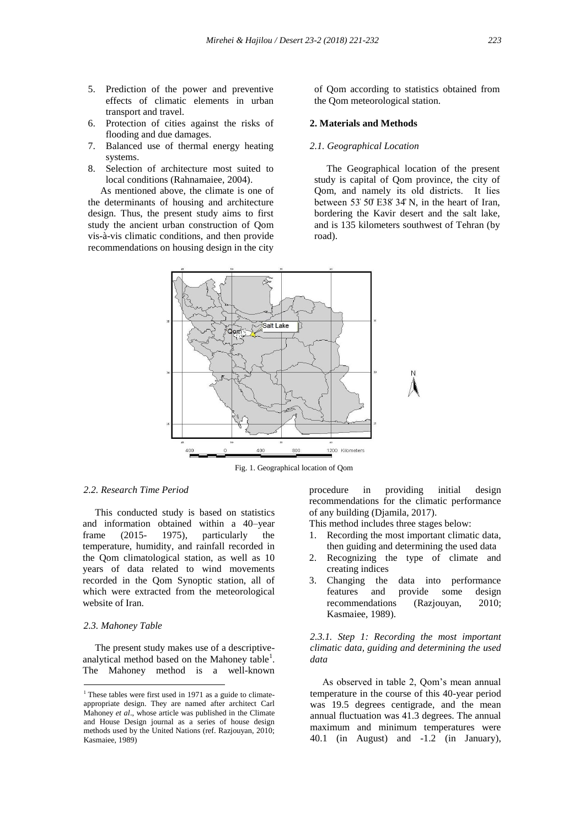- 5. Prediction of the power and preventive effects of climatic elements in urban transport and travel.
- 6. Protection of cities against the risks of flooding and due damages.
- 7. Balanced use of thermal energy heating systems.
- 8. Selection of architecture most suited to local conditions (Rahnamaiee, 2004).

 As mentioned above, the climate is one of the determinants of housing and architecture design. Thus, the present study aims to first study the ancient urban construction of Qom vis-à-vis climatic conditions, and then provide recommendations on housing design in the city of Qom according to statistics obtained from the Qom meteorological station.

#### **2. Materials and Methods**

#### *2.1. Geographical Location*

 The Geographical location of the present study is capital of Qom province, the city of Qom, and namely its old districts. It lies between 53' 50' E38'  $34^{\circ}$  N, in the heart of Iran, bordering the Kavir desert and the salt lake, and is 135 kilometers southwest of Tehran (by road).



Fig. 1. Geographical location of Qom

# *2.2. Research Time Period*

 This conducted study is based on statistics and information obtained within a 40–year frame (2015- 1975), particularly the temperature, humidity, and rainfall recorded in the Qom climatological station, as well as 10 years of data related to wind movements recorded in the Qom Synoptic station, all of which were extracted from the meteorological website of Iran.

#### *2.3. Mahoney Table*

 $\overline{\phantom{a}}$ 

 The present study makes use of a descriptiveanalytical method based on the Mahoney table<sup>1</sup>. The Mahoney method is a well-known

procedure in providing initial design recommendations for the climatic performance of any building (Djamila, 2017).

This method includes three stages below:

- 1. Recording the most important climatic data, then guiding and determining the used data
- 2. Recognizing the type of climate and creating indices
- 3. Changing the data into performance features and provide some design recommendations (Razjouyan, 2010; Kasmaiee, 1989).

*2.3.1. Step 1: Recording the most important climatic data, guiding and determining the used data*

 As observed in table 2, Qom's mean annual temperature in the course of this 40-year period was 19.5 degrees centigrade, and the mean annual fluctuation was 41.3 degrees. The annual maximum and minimum temperatures were 40.1 (in August) and -1.2 (in January),

 $1$ <sup>1</sup> These tables were first used in 1971 as a guide to climateappropriate design. They are named after architect Carl Mahoney *et al*., whose article was published in the Climate and House Design journal as a series of house design methods used by the United Nations (ref. Razjouyan, 2010; Kasmaiee, 1989)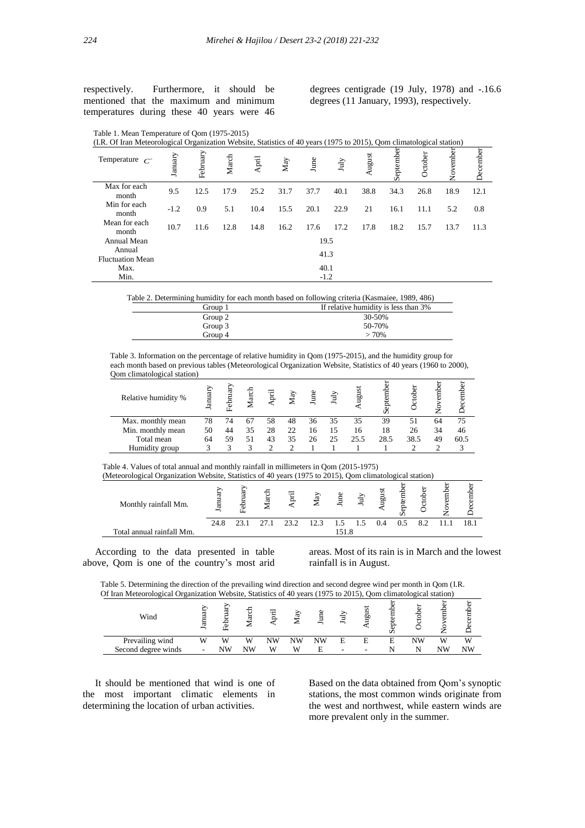respectively. Furthermore, it should be mentioned that the maximum and minimum temperatures during these 40 years were 46 degrees centigrade (19 July, 1978) and -.16.6 degrees (11 January, 1993), respectively.

| Table 1. Mean Temperature of Qom (1975-2015) |  |
|----------------------------------------------|--|
|----------------------------------------------|--|

| (I.R. Of Iran Meteorological Organization Website, Statistics of 40 years (1975 to 2015), Oom climatological station) |         |          |       |       |      |        |      |        |           |         |         |          |
|-----------------------------------------------------------------------------------------------------------------------|---------|----------|-------|-------|------|--------|------|--------|-----------|---------|---------|----------|
| Temperature $C^{\circ}$                                                                                               | January | February | March | April | May  | June   | July | August | September | October | Novembe | December |
| Max for each<br>month                                                                                                 | 9.5     | 12.5     | 17.9  | 25.2  | 31.7 | 37.7   | 40.1 | 38.8   | 34.3      | 26.8    | 18.9    | 12.1     |
| Min for each<br>month                                                                                                 | $-1.2$  | 0.9      | 5.1   | 10.4  | 15.5 | 20.1   | 22.9 | 21     | 16.1      | 11.1    | 5.2     | 0.8      |
| Mean for each<br>month                                                                                                | 10.7    | 11.6     | 12.8  | 14.8  | 16.2 | 17.6   | 17.2 | 17.8   | 18.2      | 15.7    | 13.7    | 11.3     |
| Annual Mean                                                                                                           |         |          |       |       |      | 19.5   |      |        |           |         |         |          |
| Annual<br><b>Fluctuation Mean</b>                                                                                     |         |          |       |       |      | 41.3   |      |        |           |         |         |          |
| Max.                                                                                                                  |         |          |       |       |      | 40.1   |      |        |           |         |         |          |
| Min.                                                                                                                  |         |          |       |       |      | $-1.2$ |      |        |           |         |         |          |

Table 2. Determining humidity for each month based on following criteria (Kasmaiee, 1989, 486)

| Group 1 | If relative humidity is less than 3% |
|---------|--------------------------------------|
| Group 2 | 30-50%                               |
| Group 3 | 50-70%                               |
| Group 4 | >70%                                 |
|         |                                      |

 Table 3. Information on the percentage of relative humidity in Qom (1975-2015), and the humidity group for each month based on previous tables (Meteorological Organization Website, Statistics of 40 years (1960 to 2000), Qom climatological station)

| Relative humidity % | Januar | February | Marcl | Ē  | Κã | eun | July | ಶ<br>ρť | Ê<br>Š, | ctober | Ê  | ecember |
|---------------------|--------|----------|-------|----|----|-----|------|---------|---------|--------|----|---------|
| Max. monthly mean   | 78     | 74       |       | 58 | 48 | 36  | 35   | 35      | 39      | 51     | 64 | 75      |
| Min. monthly mean   | 50     | 44       | 35    | 28 | 22 | 16  | 15   | 16      | 18      | 26     | 34 | 46      |
| Total mean          | 64     | 59       | 51    | 43 | 35 | 26  | 25   | 25.5    | 28.5    | 38.5   | 49 | 60.5    |
| Humidity group      |        |          |       |    |    |     |      |         |         |        |    |         |
|                     |        |          |       |    |    |     |      |         |         |        |    |         |

Table 4. Values of total annual and monthly rainfall in millimeters in Qom (2015-1975) (Meteorological Organization Website, Statistics of 40 years (1975 to 2015). Oom clima

| (Meteorological Organization Website, Statistics of 40 years (1975 to 2015), Qom climatological station) |        |  |      |      |       |                 |       |        |  |      |
|----------------------------------------------------------------------------------------------------------|--------|--|------|------|-------|-----------------|-------|--------|--|------|
| Monthly rainfall Mm.                                                                                     | Januar |  | Ē    | May  |       | $\lim_{x\to 0}$ | ugust | eptemb |  | ecem |
|                                                                                                          | 24.8   |  | 23.2 | 12.3 |       | 1.5             |       |        |  |      |
| Total annual rainfall Mm.                                                                                |        |  |      |      | 151.8 |                 |       |        |  |      |

 According to the data presented in table above, Qom is one of the country's most arid

areas. Most of its rain is in March and the lowest rainfall is in August.

 Table 5. Determining the direction of the prevailing wind direction and second degree wind per month in Qom (I.R. Of Iran Meteorological Organization Website, Statistics of 40 years (1975 to 2015), Qom climatological station)

| Wind                | ≂<br>E, | ₫<br>70 | −<br>⊢<br>ದ<br>∼ | ≔<br>₩ | G<br>- | ₿<br>∽ |   | s<br>Ξů | $\overline{\mathbf{a}}$<br>∽ | ä. |    | ⊢<br>⊟ |
|---------------------|---------|---------|------------------|--------|--------|--------|---|---------|------------------------------|----|----|--------|
| Prevailing wind     | W       | w       | W                | NW     | NW     | NW     | E | E       |                              | NW | W. | W      |
| Second degree winds |         | NW      | NW               | W      | W      | Е      | - | $\sim$  |                              |    | NW | NW     |

 It should be mentioned that wind is one of the most important climatic elements in determining the location of urban activities.

Based on the data obtained from Qom's synoptic stations, the most common winds originate from the west and northwest, while eastern winds are more prevalent only in the summer.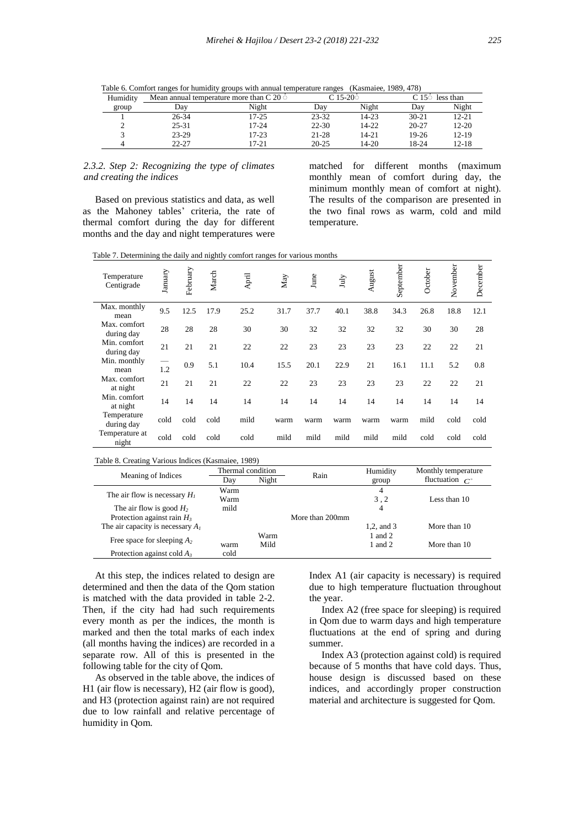|  | ×           |
|--|-------------|
|  | I<br>$\sim$ |

| Table 6. Comfort ranges for humidity groups with annual temperature ranges (Kasmaiee, 1989, 478) |  |  |
|--------------------------------------------------------------------------------------------------|--|--|
|                                                                                                  |  |  |

| Humidity |           | Mean annual temperature more than $C$ 20 $\circ$ |           | C 15-20ਂ  | C 15 $\circ$ less than |           |
|----------|-----------|--------------------------------------------------|-----------|-----------|------------------------|-----------|
| group    | Dav       | Night                                            | Dav       | Night     | Day                    | Night     |
|          | 26-34     | $17 - 25$                                        | $23 - 32$ | 14-23     | $30 - 21$              | $12 - 21$ |
|          | $25 - 31$ | $17 - 24$                                        | $22 - 30$ | 14-22     | $20 - 27$              | $12 - 20$ |
|          | 23-29     | $17 - 23$                                        | 21-28     | 14-21     | $19-26$                | $12 - 19$ |
|          | $22 - 27$ | 17-21                                            | $20 - 25$ | $14 - 20$ | 18-24                  | 12-18     |

# *2.3.2. Step 2: Recognizing the type of climates and creating the indices*

 Based on previous statistics and data, as well as the Mahoney tables' criteria, the rate of thermal comfort during the day for different months and the day and night temperatures were

matched for different months (maximum monthly mean of comfort during day, the minimum monthly mean of comfort at night). The results of the comparison are presented in the two final rows as warm, cold and mild temperature.

Table 7. Determining the daily and nightly comfort ranges for various months

| Temperature<br>Centigrade  | January | February | March | April | May  | June | July | August | September | October | November | December |
|----------------------------|---------|----------|-------|-------|------|------|------|--------|-----------|---------|----------|----------|
| Max. monthly<br>mean       | 9.5     | 12.5     | 17.9  | 25.2  | 31.7 | 37.7 | 40.1 | 38.8   | 34.3      | 26.8    | 18.8     | 12.1     |
| Max. comfort<br>during day | 28      | 28       | 28    | 30    | 30   | 32   | 32   | 32     | 32        | 30      | 30       | 28       |
| Min. comfort<br>during day | 21      | 21       | 21    | 22    | 22   | 23   | 23   | 23     | 23        | 22      | 22       | 21       |
| Min. monthly<br>mean       | 1.2     | 0.9      | 5.1   | 10.4  | 15.5 | 20.1 | 22.9 | 21     | 16.1      | 11.1    | 5.2      | 0.8      |
| Max. comfort<br>at night   | 21      | 21       | 21    | 22    | 22   | 23   | 23   | 23     | 23        | 22      | 22       | 21       |
| Min. comfort<br>at night   | 14      | 14       | 14    | 14    | 14   | 14   | 14   | 14     | 14        | 14      | 14       | 14       |
| Temperature<br>during day  | cold    | cold     | cold  | mild  | warm | warm | warm | warm   | warm      | mild    | cold     | cold     |
| Temperature at<br>night    | cold    | cold     | cold  | cold  | mild | mild | mild | mild   | mild      | cold    | cold     | cold     |

|                                    | Thermal condition |       | Rain            | Humidity   | Monthly temperature     |
|------------------------------------|-------------------|-------|-----------------|------------|-------------------------|
| Meaning of Indices                 | Day               | Night |                 | group      | fluctuation $C^{\circ}$ |
|                                    | Warm              |       |                 | 4          |                         |
| The air flow is necessary $H_1$    | Warm              |       |                 | 3.2        | Less than 10            |
| The air flow is good $H_2$         | mild              |       |                 | 4          |                         |
| Protection against rain $H_3$      |                   |       | More than 200mm |            |                         |
| The air capacity is necessary $Al$ |                   |       |                 | 1.2, and 3 | More than 10            |
|                                    |                   | Warm  |                 | 1 and $2$  |                         |
| Free space for sleeping $A_2$      | warm              | Mild  |                 | 1 and $2$  | More than 10            |
| Protection against cold $A_3$      | cold              |       |                 |            |                         |

 At this step, the indices related to design are determined and then the data of the Qom station is matched with the data provided in table 2-2. Then, if the city had had such requirements every month as per the indices, the month is marked and then the total marks of each index (all months having the indices) are recorded in a separate row. All of this is presented in the following table for the city of Qom.

 As observed in the table above, the indices of H1 (air flow is necessary), H2 (air flow is good), and H3 (protection against rain) are not required due to low rainfall and relative percentage of humidity in Qom.

Index A1 (air capacity is necessary) is required due to high temperature fluctuation throughout the year.

 Index A2 (free space for sleeping) is required in Qom due to warm days and high temperature fluctuations at the end of spring and during summer.

 Index A3 (protection against cold) is required because of 5 months that have cold days. Thus, house design is discussed based on these indices, and accordingly proper construction material and architecture is suggested for Qom.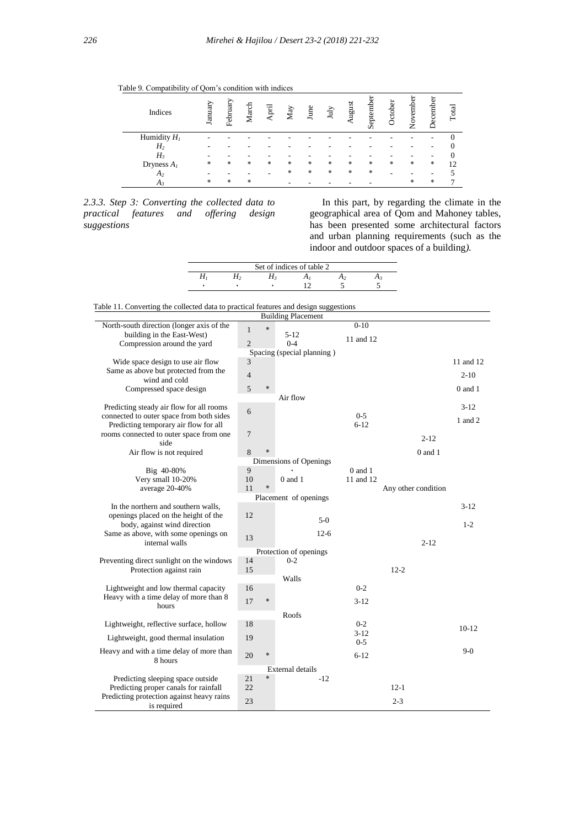|  |  | Table 9. Compatibility of Qom's condition with indices |  |  |  |  |
|--|--|--------------------------------------------------------|--|--|--|--|
|--|--|--------------------------------------------------------|--|--|--|--|

| Indices        | January | February | March  | April | May | June | July   | angust | September | tobei | vember<br>ż | December | Total |
|----------------|---------|----------|--------|-------|-----|------|--------|--------|-----------|-------|-------------|----------|-------|
| Humidity $H_I$ |         |          |        |       |     |      |        |        |           |       |             |          |       |
| H <sub>2</sub> |         |          |        |       |     |      |        |        |           |       |             |          |       |
| $H_3$          |         |          |        |       |     |      |        |        |           |       |             |          |       |
| Dryness $A_I$  | $\ast$  | *        | *      | *     | *   | *    | $\ast$ | *      | *         | *     | *           | *        | 12    |
| A <sub>2</sub> |         |          |        |       | *   | *    | $\ast$ | *      | $\ast$    |       |             |          |       |
| $A_{3}$        | $\ast$  | *        | $\ast$ |       |     |      |        |        |           |       | $\ast$      | $\ast$   | ⇁     |

*2.3.3. Step 3: Converting the collected data to practical features and offering design suggestions*

 In this part, by regarding the climate in the geographical area of Qom and Mahoney tables, has been presented some architectural factors and urban planning requirements (such as the indoor and outdoor spaces of a building*).*

| Set of indices of table 2 |  |  |  |  |  |  |  |  |  |
|---------------------------|--|--|--|--|--|--|--|--|--|
|                           |  |  |  |  |  |  |  |  |  |
|                           |  |  |  |  |  |  |  |  |  |

Table 11. Converting the collected data to practical features and design suggestions

| <b>Building Placement</b>                                                      |                |        |                        |             |                     |             |  |  |  |
|--------------------------------------------------------------------------------|----------------|--------|------------------------|-------------|---------------------|-------------|--|--|--|
| North-south direction (longer axis of the                                      | $\mathbf{1}$   | $\ast$ |                        | $0-10$      |                     |             |  |  |  |
| building in the East-West)                                                     |                |        | $5 - 12$               | 11 and 12   |                     |             |  |  |  |
| Compression around the yard                                                    | $\overline{2}$ |        | $0 - 4$                |             |                     |             |  |  |  |
| Spacing (special planning)                                                     |                |        |                        |             |                     |             |  |  |  |
| Wide space design to use air flow                                              | 3              |        |                        |             |                     | 11 and 12   |  |  |  |
| Same as above but protected from the<br>wind and cold                          | $\overline{4}$ |        |                        |             |                     | $2 - 10$    |  |  |  |
| Compressed space design                                                        | 5              | $\ast$ |                        |             |                     | $0$ and $1$ |  |  |  |
|                                                                                |                |        | Air flow               |             |                     |             |  |  |  |
| Predicting steady air flow for all rooms                                       |                |        |                        |             |                     | $3-12$      |  |  |  |
| connected to outer space from both sides                                       | 6              |        |                        | $0 - 5$     |                     |             |  |  |  |
| Predicting temporary air flow for all                                          |                |        |                        | $6 - 12$    |                     | 1 and 2     |  |  |  |
| rooms connected to outer space from one                                        | $\overline{7}$ |        |                        |             | $2 - 12$            |             |  |  |  |
| side                                                                           |                |        |                        |             |                     |             |  |  |  |
| Air flow is not required                                                       | 8              |        |                        |             | $0$ and $1$         |             |  |  |  |
|                                                                                |                |        | Dimensions of Openings |             |                     |             |  |  |  |
| Big 40-80%                                                                     | 9              |        |                        | $0$ and $1$ |                     |             |  |  |  |
| Very small 10-20%                                                              | 10<br>11       | $\ast$ | $0$ and $1$            | 11 and 12   |                     |             |  |  |  |
| average 20-40%                                                                 |                |        | Placement of openings  |             | Any other condition |             |  |  |  |
| In the northern and southern walls,                                            |                |        |                        |             |                     | $3 - 12$    |  |  |  |
| openings placed on the height of the                                           | 12             |        |                        |             |                     |             |  |  |  |
| body, against wind direction                                                   |                |        | $5-0$                  |             |                     | $1 - 2$     |  |  |  |
| Same as above, with some openings on                                           |                |        | $12-6$                 |             |                     |             |  |  |  |
| internal walls                                                                 | 13             |        |                        |             | $2 - 12$            |             |  |  |  |
|                                                                                |                |        | Protection of openings |             |                     |             |  |  |  |
| Preventing direct sunlight on the windows                                      | 14             |        | $0 - 2$                |             |                     |             |  |  |  |
| Protection against rain                                                        | 15             |        |                        |             | $12 - 2$            |             |  |  |  |
|                                                                                |                |        | Walls                  |             |                     |             |  |  |  |
| Lightweight and low thermal capacity<br>Heavy with a time delay of more than 8 | 16             |        |                        | $0-2$       |                     |             |  |  |  |
| hours                                                                          | 17             | $\ast$ |                        | $3 - 12$    |                     |             |  |  |  |
|                                                                                |                |        | Roofs                  |             |                     |             |  |  |  |
| Lightweight, reflective surface, hollow                                        | 18             |        |                        | $0 - 2$     |                     |             |  |  |  |
|                                                                                |                |        |                        | $3 - 12$    |                     | $10 - 12$   |  |  |  |
| Lightweight, good thermal insulation                                           | 19             |        |                        | $0-5$       |                     |             |  |  |  |
| Heavy and with a time delay of more than                                       | 20             | $\ast$ |                        | $6 - 12$    |                     | $9-0$       |  |  |  |
| 8 hours                                                                        |                |        |                        |             |                     |             |  |  |  |
| <b>External details</b><br>$\ast$                                              |                |        |                        |             |                     |             |  |  |  |
| Predicting sleeping space outside                                              | 21<br>22       |        | $-12$                  |             |                     |             |  |  |  |
| Predicting proper canals for rainfall                                          |                |        |                        |             | $12-1$              |             |  |  |  |
| Predicting protection against heavy rains<br>is required                       | 23             |        |                        |             | $2 - 3$             |             |  |  |  |
|                                                                                |                |        |                        |             |                     |             |  |  |  |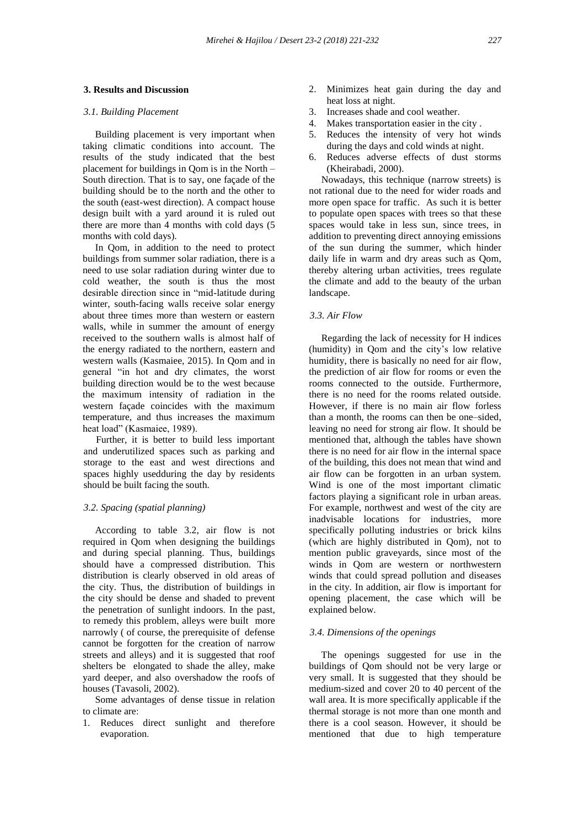#### **3. Results and Discussion**

### *3.1. Building Placement*

 Building placement is very important when taking climatic conditions into account. The results of the study indicated that the best placement for buildings in Qom is in the North – South direction. That is to say, one façade of the building should be to the north and the other to the south (east-west direction). A compact house design built with a yard around it is ruled out there are more than 4 months with cold days (5 months with cold days).

 In Qom, in addition to the need to protect buildings from summer solar radiation, there is a need to use solar radiation during winter due to cold weather, the south is thus the most desirable direction since in "mid-latitude during winter, south-facing walls receive solar energy about three times more than western or eastern walls, while in summer the amount of energy received to the southern walls is almost half of the energy radiated to the northern, eastern and western walls (Kasmaiee, 2015). In Qom and in general "in hot and dry climates, the worst building direction would be to the west because the maximum intensity of radiation in the western façade coincides with the maximum temperature, and thus increases the maximum heat load" (Kasmaiee, 1989).

 Further, it is better to build less important and underutilized spaces such as parking and storage to the east and west directions and spaces highly usedduring the day by residents should be built facing the south.

## *3.2. Spacing (spatial planning)*

 According to table 3.2, air flow is not required in Qom when designing the buildings and during special planning. Thus, buildings should have a compressed distribution. This distribution is clearly observed in old areas of the city. Thus, the distribution of buildings in the city should be dense and shaded to prevent the penetration of sunlight indoors. In the past, to remedy this problem, alleys were built more narrowly ( of course, the prerequisite of defense cannot be forgotten for the creation of narrow streets and alleys) and it is suggested that roof shelters be elongated to shade the alley, make yard deeper, and also overshadow the roofs of houses (Tavasoli, 2002).

 Some advantages of dense tissue in relation to climate are:

1. Reduces direct sunlight and therefore evaporation.

- 2. Minimizes heat gain during the day and heat loss at night.
- 3. Increases shade and cool weather.
- 4. Makes transportation easier in the city .
- 5. Reduces the intensity of very hot winds during the days and cold winds at night.
- 6. Reduces adverse effects of dust storms (Kheirabadi, 2000).

 Nowadays, this technique (narrow streets) is not rational due to the need for wider roads and more open space for traffic. As such it is better to populate open spaces with trees so that these spaces would take in less sun, since trees, in addition to preventing direct annoying emissions of the sun during the summer, which hinder daily life in warm and dry areas such as Qom, thereby altering urban activities, trees regulate the climate and add to the beauty of the urban landscape.

#### *3.3. Air Flow*

 Regarding the lack of necessity for H indices (humidity) in Qom and the city's low relative humidity, there is basically no need for air flow, the prediction of air flow for rooms or even the rooms connected to the outside. Furthermore, there is no need for the rooms related outside. However, if there is no main air flow forless than a month, the rooms can then be one–sided, leaving no need for strong air flow. It should be mentioned that, although the tables have shown there is no need for air flow in the internal space of the building, this does not mean that wind and air flow can be forgotten in an urban system. Wind is one of the most important climatic factors playing a significant role in urban areas. For example, northwest and west of the city are inadvisable locations for industries, more specifically polluting industries or brick kilns (which are highly distributed in Qom), not to mention public graveyards, since most of the winds in Qom are western or northwestern winds that could spread pollution and diseases in the city. In addition, air flow is important for opening placement, the case which will be explained below.

### *3.4. Dimensions of the openings*

 The openings suggested for use in the buildings of Qom should not be very large or very small. It is suggested that they should be medium-sized and cover 20 to 40 percent of the wall area. It is more specifically applicable if the thermal storage is not more than one month and there is a cool season. However, it should be mentioned that due to high temperature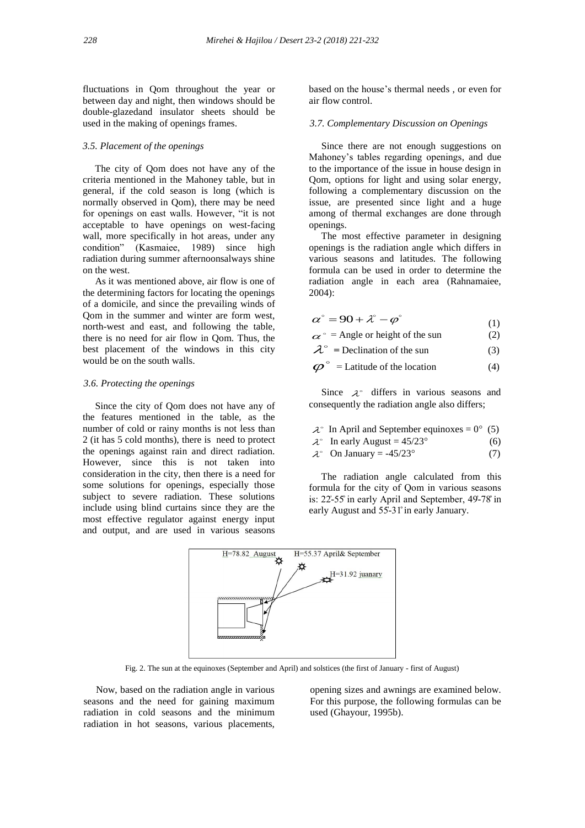fluctuations in Qom throughout the year or between day and night, then windows should be double-glazedand insulator sheets should be used in the making of openings frames.

#### *3.5. Placement of the openings*

 The city of Qom does not have any of the criteria mentioned in the Mahoney table, but in general, if the cold season is long (which is normally observed in Qom), there may be need for openings on east walls. However, "it is not acceptable to have openings on west-facing wall, more specifically in hot areas, under any condition" (Kasmaiee, 1989) since high radiation during summer afternoonsalways shine on the west.

 As it was mentioned above, air flow is one of the determining factors for locating the openings of a domicile, and since the prevailing winds of Qom in the summer and winter are form west, north-west and east, and following the table, there is no need for air flow in Qom. Thus, the best placement of the windows in this city would be on the south walls.

#### *3.6. Protecting the openings*

 Since the city of Qom does not have any of the features mentioned in the table, as the number of cold or rainy months is not less than 2 (it has 5 cold months), there is need to protect the openings against rain and direct radiation. However, since this is not taken into consideration in the city, then there is a need for some solutions for openings, especially those subject to severe radiation. These solutions include using blind curtains since they are the most effective regulator against energy input and output, and are used in various seasons

based on the house's thermal needs , or even for air flow control.

# *3.7. Complementary Discussion on Openings*

 Since there are not enough suggestions on Mahoney's tables regarding openings, and due to the importance of the issue in house design in Qom, options for light and using solar energy, following a complementary discussion on the issue, are presented since light and a huge among of thermal exchanges are done through openings.

 The most effective parameter in designing openings is the radiation angle which differs in various seasons and latitudes. The following formula can be used in order to determine the radiation angle in each area (Rahnamaiee, 2004):

$$
\alpha^{\circ} = 90 + \lambda^{\circ} - \varphi^{\circ} \tag{1}
$$

 $\alpha^{\circ}$  = Angle or height of the sun (2)

 $\lambda^{\circ}$  = Declination of the sun (3)

 $\boldsymbol{\varphi}^{\circ}$  = Latitude of the location (4)

Since  $\lambda^{\circ}$  differs in various seasons and consequently the radiation angle also differs;

- $\lambda^{\circ}$  In April and September equinoxes = 0° (5)
- $\lambda^{\circ}$  In early August = 45/23° (6)
- $\lambda^{\circ}$  On January = -45/23° (7)

 The radiation angle calculated from this formula for the city of Qom in various seasons is:  $22-55$  in early April and September,  $49-78$  in early August and 55-31° in early January.



Fig. 2. The sun at the equinoxes (September and April) and solstices (the first of January - first of August)

 Now, based on the radiation angle in various seasons and the need for gaining maximum radiation in cold seasons and the minimum radiation in hot seasons, various placements,

opening sizes and awnings are examined below. For this purpose, the following formulas can be used (Ghayour, 1995b).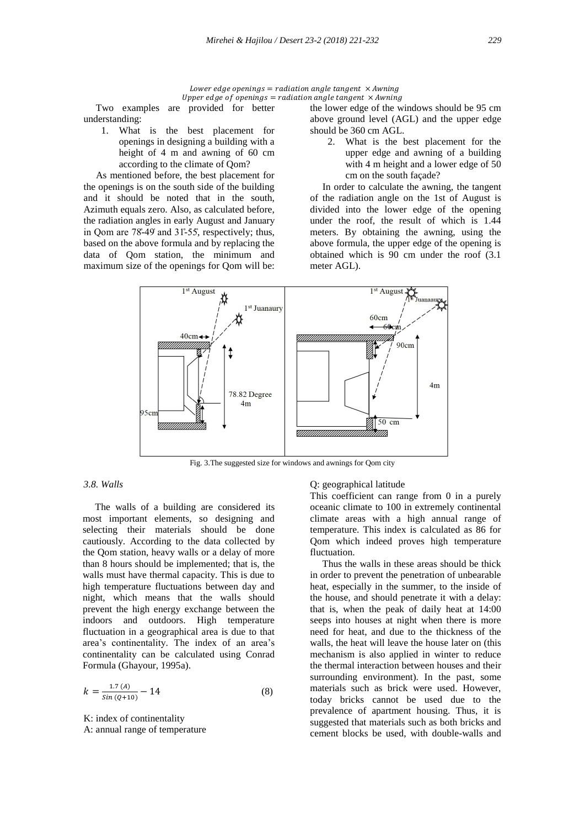#### Lower edge openings = radiation angle tangent  $\times$  Awning Upper edge of openings = radiation angle tangent  $\times$  Awning

 Two examples are provided for better understanding:

1. What is the best placement for openings in designing a building with a height of 4 m and awning of 60 cm according to the climate of Qom?

 As mentioned before, the best placement for the openings is on the south side of the building and it should be noted that in the south, Azimuth equals zero. Also, as calculated before, the radiation angles in early August and January in Oom are  $78-49$  and  $31-55$ , respectively; thus, based on the above formula and by replacing the data of Qom station, the minimum and maximum size of the openings for Qom will be:

the lower edge of the windows should be 95 cm above ground level (AGL) and the upper edge should be 360 cm AGL.

2. What is the best placement for the upper edge and awning of a building with 4 m height and a lower edge of 50 cm on the south façade?

 In order to calculate the awning, the tangent of the radiation angle on the 1st of August is divided into the lower edge of the opening under the roof, the result of which is 1.44 meters. By obtaining the awning, using the above formula, the upper edge of the opening is obtained which is 90 cm under the roof (3.1 meter AGL).



Fig. 3.The suggested size for windows and awnings for Qom city

# *3.8. Walls*

 The walls of a building are considered its most important elements, so designing and selecting their materials should be done cautiously. According to the data collected by the Qom station, heavy walls or a delay of more than 8 hours should be implemented; that is, the walls must have thermal capacity. This is due to high temperature fluctuations between day and night, which means that the walls should prevent the high energy exchange between the indoors and outdoors. High temperature fluctuation in a geographical area is due to that area's continentality. The index of an area's continentality can be calculated using Conrad Formula (Ghayour, 1995a).

$$
k = \frac{1.7 (A)}{\sin (Q+10)} - 14
$$
 (8)

K: index of continentality A: annual range of temperature

## Q: geographical latitude

This coefficient can range from 0 in a purely oceanic climate to 100 in extremely continental climate areas with a high annual range of temperature. This index is calculated as 86 for Qom which indeed proves high temperature fluctuation.

 Thus the walls in these areas should be thick in order to prevent the penetration of unbearable heat, especially in the summer, to the inside of the house, and should penetrate it with a delay: that is, when the peak of daily heat at 14:00 seeps into houses at night when there is more need for heat, and due to the thickness of the walls, the heat will leave the house later on (this mechanism is also applied in winter to reduce the thermal interaction between houses and their surrounding environment). In the past, some materials such as brick were used. However, today bricks cannot be used due to the prevalence of apartment housing. Thus, it is suggested that materials such as both bricks and cement blocks be used, with double-walls and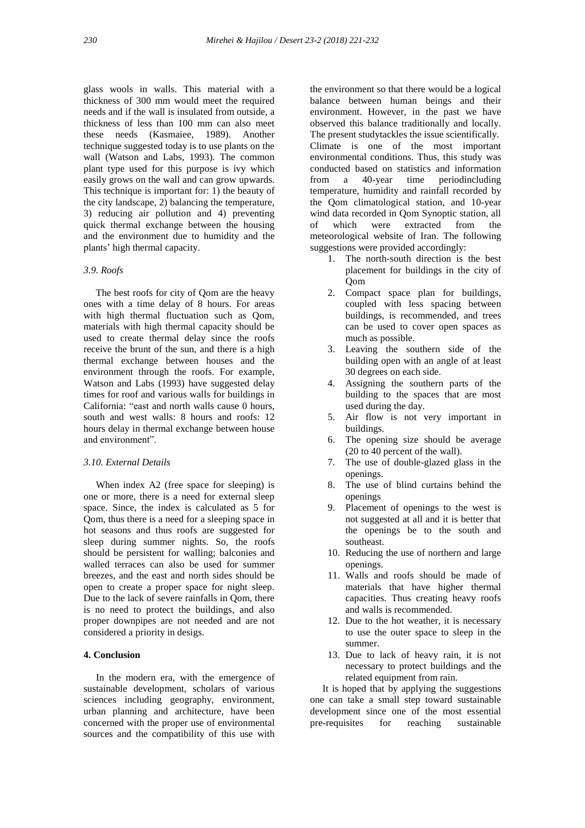glass wools in walls. This material with a thickness of 300 mm would meet the required needs and if the wall is insulated from outside, a thickness of less than 100 mm can also meet these needs (Kasmaiee, 1989). Another technique suggested today is to use plants on the wall (Watson and Labs, 1993). The common plant type used for this purpose is ivy which easily grows on the wall and can grow upwards. This technique is important for: 1) the beauty of the city landscape, 2) balancing the temperature, 3) reducing air pollution and 4) preventing quick thermal exchange between the housing and the environment due to humidity and the plants' high thermal capacity.

### *3.9. Roofs*

 The best roofs for city of Qom are the heavy ones with a time delay of 8 hours. For areas with high thermal fluctuation such as Qom, materials with high thermal capacity should be used to create thermal delay since the roofs receive the brunt of the sun, and there is a high thermal exchange between houses and the environment through the roofs. For example, Watson and Labs (1993) have suggested delay times for roof and various walls for buildings in California: "east and north walls cause 0 hours, south and west walls: 8 hours and roofs: 12 hours delay in thermal exchange between house and environment"

#### *3.10. External Details*

 When index A2 (free space for sleeping) is one or more, there is a need for external sleep space. Since, the index is calculated as 5 for Qom, thus there is a need for a sleeping space in hot seasons and thus roofs are suggested for sleep during summer nights. So, the roofs should be persistent for walling; balconies and walled terraces can also be used for summer breezes, and the east and north sides should be open to create a proper space for night sleep. Due to the lack of severe rainfalls in Qom, there is no need to protect the buildings, and also proper downpipes are not needed and are not considered a priority in desigs.

# **4. Conclusion**

 In the modern era, with the emergence of sustainable development, scholars of various sciences including geography, environment, urban planning and architecture, have been concerned with the proper use of environmental sources and the compatibility of this use with

the environment so that there would be a logical balance between human beings and their environment. However, in the past we have observed this balance traditionally and locally. The present studytackles the issue scientifically. Climate is one of the most important environmental conditions. Thus, this study was conducted based on statistics and information from a 40-year time periodincluding temperature, humidity and rainfall recorded by the Qom climatological station, and 10-year wind data recorded in Qom Synoptic station, all of which were extracted from the meteorological website of Iran. The following suggestions were provided accordingly:

- 1. The north-south direction is the best placement for buildings in the city of Qom
- 2. Compact space plan for buildings, coupled with less spacing between buildings, is recommended, and trees can be used to cover open spaces as much as possible.
- 3. Leaving the southern side of the building open with an angle of at least 30 degrees on each side.
- 4. Assigning the southern parts of the building to the spaces that are most used during the day.
- 5. Air flow is not very important in buildings.
- 6. The opening size should be average (20 to 40 percent of the wall).
- 7. The use of double-glazed glass in the openings.
- 8. The use of blind curtains behind the openings
- 9. Placement of openings to the west is not suggested at all and it is better that the openings be to the south and southeast.
- 10. Reducing the use of northern and large openings.
- 11. Walls and roofs should be made of materials that have higher thermal capacities. Thus creating heavy roofs and walls is recommended.
- 12. Due to the hot weather, it is necessary to use the outer space to sleep in the summer.
- 13. Due to lack of heavy rain, it is not necessary to protect buildings and the related equipment from rain.

 It is hoped that by applying the suggestions one can take a small step toward sustainable development since one of the most essential pre-requisites for reaching sustainable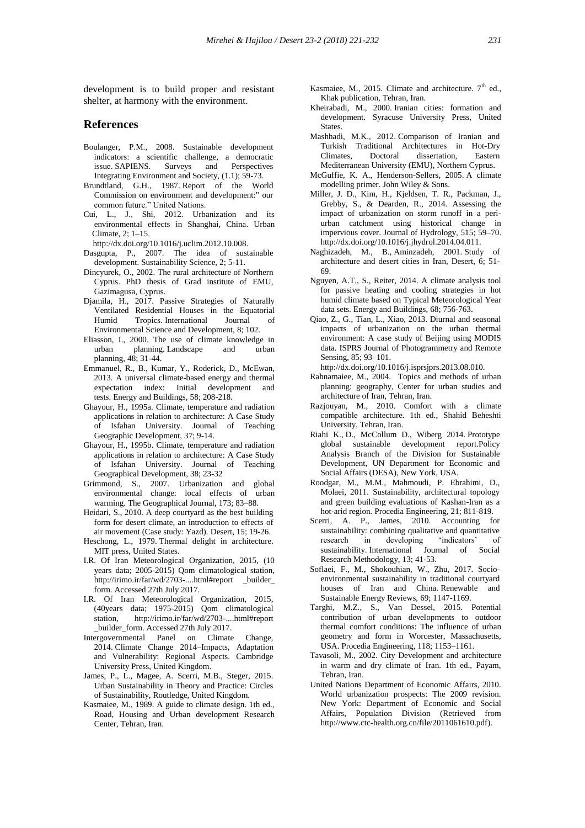development is to build proper and resistant shelter, at harmony with the environment.

### **References**

- Boulanger, P.M., 2008. Sustainable development indicators: a scientific challenge, a democratic issue. SAPIENS. Surveys and Perspectives Integrating Environment and Society, (1.1); 59-73.
- Brundtland, G.H., 1987. Report of the World Commission on environment and development:" our common future." United Nations.
- Cui, L., J., Shi, 2012. Urbanization and its environmental effects in Shanghai, China. Urban Climate, 2; 1–15.
- http://dx.doi.org/10.1016/j.uclim.2012.10.008.
- Dasgupta, P., 2007. The idea of sustainable development. Sustainability Science, 2; 5-11.
- Dincyurek, O., 2002. The rural architecture of Northern Cyprus. PhD thesis of Grad institute of EMU, Gazimagusa, Cyprus.
- Djamila, H., 2017. Passive Strategies of Naturally Ventilated Residential Houses in the Equatorial Humid Tropics. International Journal of Environmental Science and Development, 8; 102.
- Eliasson, I., 2000. The use of climate knowledge in urban planning. Landscape and urban planning, 48; 31-44.
- Emmanuel, R., B., Kumar, Y., Roderick, D., McEwan, 2013. A universal climate-based energy and thermal expectation index: Initial development and tests. Energy and Buildings, 58; 208-218.
- Ghayour, H., 1995a. Climate, temperature and radiation applications in relation to architecture: A Case Study of Isfahan University. Journal of Teaching Geographic Development, 37; 9-14.
- Ghayour, H., 1995b. Climate, temperature and radiation applications in relation to architecture: A Case Study of Isfahan University. Journal of Teaching Geographical Development, 38; 23-32
- Grimmond, S., 2007. Urbanization and global environmental change: local effects of urban warming. The Geographical Journal, 173; 83–88.
- Heidari, S., 2010. A deep courtyard as the best building form for desert climate, an introduction to effects of air movement (Case study: Yazd). Desert, 15; 19-26.
- Heschong, L., 1979. Thermal delight in architecture. MIT press, United States.
- I.R. Of Iran Meteorological Organization, 2015, (10 years data; 2005-2015) Qom climatological station, http://irimo.ir/far/wd/2703-....html#report builder form. Accessed 27th July 2017.
- I.R. Of Iran Meteorological Organization, 2015, (40years data; 1975-2015) Qom climatological station, http://irimo.ir/far/wd/2703-....html#report \_builder\_form. Accessed 27th July 2017.
- Intergovernmental Panel on Climate Change, 2014. Climate Change 2014–Impacts, Adaptation and Vulnerability: Regional Aspects. Cambridge University Press, United Kingdom.
- James, P., L., Magee, A. Scerri, M.B., Steger, 2015. Urban Sustainability in Theory and Practice: Circles of Sustainability, Routledge, United Kingdom.
- Kasmaiee, M., 1989. A guide to climate design. 1th ed., Road, Housing and Urban development Research Center, Tehran, Iran.
- Kasmaiee, M., 2015. Climate and architecture.  $7<sup>th</sup>$  ed., Khak publication, Tehran, Iran.
- Kheirabadi, M., 2000. Iranian cities: formation and development. Syracuse University Press, United **States**.
- Mashhadi, M.K., 2012. Comparison of Iranian and Turkish Traditional Architectures in Hot-Dry Climates, Doctoral dissertation, Eastern Mediterranean University (EMU), Northern Cyprus.
- McGuffie, K. A., Henderson-Sellers, 2005. A climate modelling primer. John Wiley & Sons.
- Miller, J. D., Kim, H., Kjeldsen, T. R., Packman, J., Grebby, S., & Dearden, R., 2014. Assessing the impact of urbanization on storm runoff in a peri urban catchment using historical change in impervious cover. Journal of Hydrology, 515; 59–70. http://dx.doi.org/10.1016/j.jhydrol.2014.04.011.
- Naghizadeh, M., B., Aminzadeh, 2001. Study of architecture and desert cities in Iran, Desert, 6; 51- 69.
- Nguyen, A.T., S., Reiter, 2014. A climate analysis tool for passive heating and cooling strategies in hot humid climate based on Typical Meteorological Year data sets. Energy and Buildings, 68; 756-763.
- Qiao, Z., G., Tian, L., Xiao, 2013. Diurnal and seasonal impacts of urbanization on the urban thermal environment: A case study of Beijing using MODIS data. ISPRS Journal of Photogrammetry and Remote Sensing, 85; 93–101.

http://dx.doi.org/10.1016/j.isprsjprs.2013.08.010.

- Rahnamaiee, M., 2004. Topics and methods of urban planning: geography, Center for urban studies and architecture of Iran, Tehran, Iran.
- Razjouyan, M., 2010. Comfort with a climate compatible architecture. 1th ed., Shahid Beheshti University, Tehran, Iran.
- Riahi K., D., McCollum D., Wiberg 2014. Prototype global sustainable development report.Policy Analysis Branch of the Division for Sustainable Development, UN Department for Economic and Social Affairs (DESA), New York, USA.
- Roodgar, M., M.M., Mahmoudi, P. Ebrahimi, D., Molaei, 2011. Sustainability, architectural topology and green building evaluations of Kashan-Iran as a hot-arid region. Procedia Engineering, 21; 811-819.
- Scerri, A. P., James, 2010. Accounting for sustainability: combining qualitative and quantitative research in developing 'indicators' of sustainability. International Journal of Social Research Methodology, 13; 41-53.
- Soflaei, F., M., Shokouhian, W., Zhu, 2017. Socio environmental sustainability in traditional courtyard houses of Iran and China. Renewable and Sustainable Energy Reviews, 69; 1147-1169.
- Targhi, M.Z., S., Van Dessel, 2015. Potential contribution of urban developments to outdoor thermal comfort conditions: The influence of urban geometry and form in Worcester, Massachusetts, USA. Procedia Engineering, 118; 1153–1161.
- Tavasoli, M., 2002. City Development and architecture in warm and dry climate of Iran. 1th ed., Payam, Tehran, Iran.
- United Nations Department of Economic Affairs, 2010. World urbanization prospects: The 2009 revision. New York: Department of Economic and Social Affairs, Population Division (Retrieved from http://www.ctc-health.org.cn/file/2011061610.pdf).